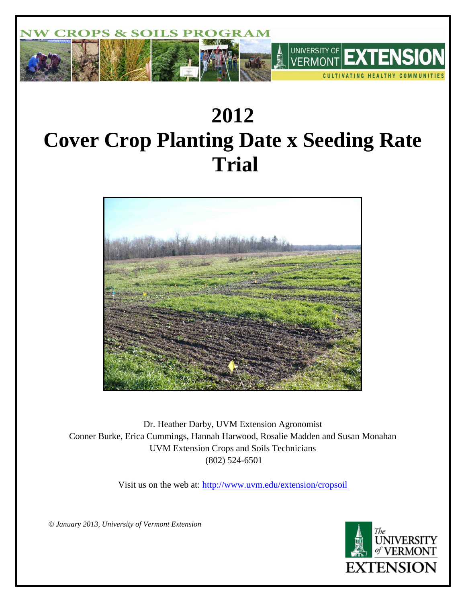

# **2012 Cover Crop Planting Date x Seeding Rate Trial**



Dr. Heather Darby, UVM Extension Agronomist Conner Burke, Erica Cummings, Hannah Harwood, Rosalie Madden and Susan Monahan UVM Extension Crops and Soils Technicians (802) 524-6501

Visit us on the web at:<http://www.uvm.edu/extension/cropsoil>

*© January 2013, University of Vermont Extension*

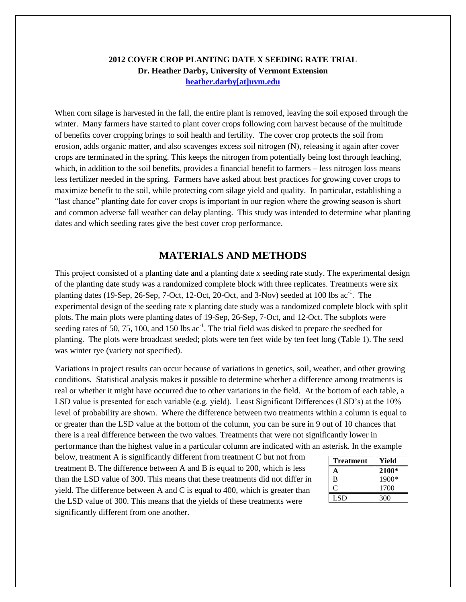## **2012 COVER CROP PLANTING DATE X SEEDING RATE TRIAL Dr. Heather Darby, University of Vermont Extension [heather.darby\[at\]uvm.edu](mailto:heather.darby@uvm.edu?subject=Winter%20Barley%20Variety%20Trial)**

When corn silage is harvested in the fall, the entire plant is removed, leaving the soil exposed through the winter. Many farmers have started to plant cover crops following corn harvest because of the multitude of benefits cover cropping brings to soil health and fertility. The cover crop protects the soil from erosion, adds organic matter, and also scavenges excess soil nitrogen (N), releasing it again after cover crops are terminated in the spring. This keeps the nitrogen from potentially being lost through leaching, which, in addition to the soil benefits, provides a financial benefit to farmers – less nitrogen loss means less fertilizer needed in the spring. Farmers have asked about best practices for growing cover crops to maximize benefit to the soil, while protecting corn silage yield and quality. In particular, establishing a "last chance" planting date for cover crops is important in our region where the growing season is short and common adverse fall weather can delay planting. This study was intended to determine what planting dates and which seeding rates give the best cover crop performance.

# **MATERIALS AND METHODS**

This project consisted of a planting date and a planting date x seeding rate study. The experimental design of the planting date study was a randomized complete block with three replicates. Treatments were six planting dates (19-Sep, 26-Sep, 7-Oct, 12-Oct, 20-Oct, and 3-Nov) seeded at 100 lbs  $ac^{-1}$ . The experimental design of the seeding rate x planting date study was a randomized complete block with split plots. The main plots were planting dates of 19-Sep, 26-Sep, 7-Oct, and 12-Oct. The subplots were seeding rates of 50, 75, 100, and 150 lbs  $ac^{-1}$ . The trial field was disked to prepare the seedbed for planting. The plots were broadcast seeded; plots were ten feet wide by ten feet long (Table 1). The seed was winter rye (variety not specified).

Variations in project results can occur because of variations in genetics, soil, weather, and other growing conditions. Statistical analysis makes it possible to determine whether a difference among treatments is real or whether it might have occurred due to other variations in the field. At the bottom of each table, a LSD value is presented for each variable (e.g. yield). Least Significant Differences (LSD's) at the 10% level of probability are shown. Where the difference between two treatments within a column is equal to or greater than the LSD value at the bottom of the column, you can be sure in 9 out of 10 chances that there is a real difference between the two values. Treatments that were not significantly lower in performance than the highest value in a particular column are indicated with an asterisk. In the example

below, treatment A is significantly different from treatment C but not from treatment B. The difference between A and B is equal to 200, which is less than the LSD value of 300. This means that these treatments did not differ in yield. The difference between A and C is equal to 400, which is greater than the LSD value of 300. This means that the yields of these treatments were significantly different from one another.

| <b>Treatment</b> | Yield   |
|------------------|---------|
|                  | $2100*$ |
| B                | 1900*   |
|                  | 1700    |
| <b>LSD</b>       | 300     |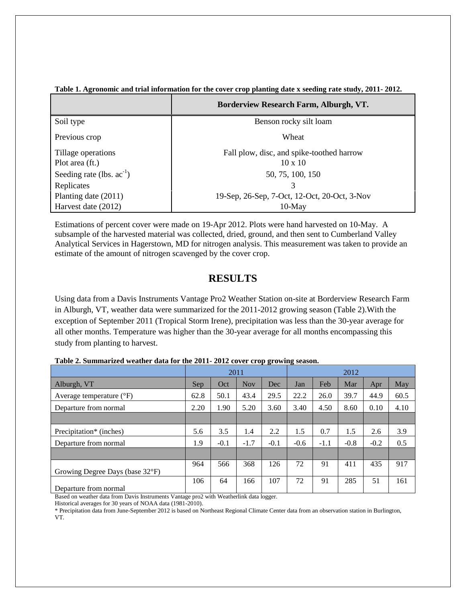|                                | Borderview Research Farm, Alburgh, VT.       |  |  |  |
|--------------------------------|----------------------------------------------|--|--|--|
| Soil type                      | Benson rocky silt loam                       |  |  |  |
| Previous crop                  | Wheat                                        |  |  |  |
| Tillage operations             | Fall plow, disc, and spike-toothed harrow    |  |  |  |
| Plot area (ft.)                | $10 \times 10$                               |  |  |  |
| Seeding rate (lbs. $ac^{-1}$ ) | 50, 75, 100, 150                             |  |  |  |
| Replicates                     | 3                                            |  |  |  |
| Planting date (2011)           | 19-Sep, 26-Sep, 7-Oct, 12-Oct, 20-Oct, 3-Nov |  |  |  |
| Harvest date (2012)            | $10-May$                                     |  |  |  |

### **Table 1. Agronomic and trial information for the cover crop planting date x seeding rate study, 2011- 2012.**

Estimations of percent cover were made on 19-Apr 2012. Plots were hand harvested on 10-May. A subsample of the harvested material was collected, dried, ground, and then sent to Cumberland Valley Analytical Services in Hagerstown, MD for nitrogen analysis. This measurement was taken to provide an estimate of the amount of nitrogen scavenged by the cover crop.

# **RESULTS**

Using data from a Davis Instruments Vantage Pro2 Weather Station on-site at Borderview Research Farm in Alburgh, VT, weather data were summarized for the 2011-2012 growing season (Table 2).With the exception of September 2011 (Tropical Storm Irene), precipitation was less than the 30-year average for all other months. Temperature was higher than the 30-year average for all months encompassing this study from planting to harvest.

|                                     | 2011 |        |            | 2012   |        |        |        |        |      |
|-------------------------------------|------|--------|------------|--------|--------|--------|--------|--------|------|
| Alburgh, VT                         | Sep  | Oct    | <b>Nov</b> | Dec    | Jan    | Feb    | Mar    | Apr    | May  |
| Average temperature $({}^{\circ}F)$ | 62.8 | 50.1   | 43.4       | 29.5   | 22.2   | 26.0   | 39.7   | 44.9   | 60.5 |
| Departure from normal               | 2.20 | 1.90   | 5.20       | 3.60   | 3.40   | 4.50   | 8.60   | 0.10   | 4.10 |
|                                     |      |        |            |        |        |        |        |        |      |
| Precipitation <sup>*</sup> (inches) | 5.6  | 3.5    | 1.4        | 2.2    | 1.5    | 0.7    | 1.5    | 2.6    | 3.9  |
| Departure from normal               | 1.9  | $-0.1$ | $-1.7$     | $-0.1$ | $-0.6$ | $-1.1$ | $-0.8$ | $-0.2$ | 0.5  |
|                                     |      |        |            |        |        |        |        |        |      |
| Growing Degree Days (base 32°F)     | 964  | 566    | 368        | 126    | 72     | 91     | 411    | 435    | 917  |
| Departure from normal               | 106  | 64     | 166        | 107    | 72     | 91     | 285    | 51     | 161  |

**Table 2. Summarized weather data for the 2011- 2012 cover crop growing season.**

Based on weather data from Davis Instruments Vantage pro2 with Weatherlink data logger.

Historical averages for 30 years of NOAA data (1981-2010).

\* Precipitation data from June-September 2012 is based on Northeast Regional Climate Center data from an observation station in Burlington, VT.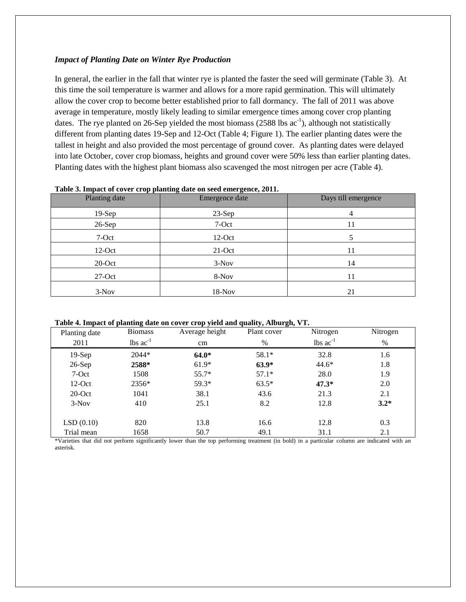### *Impact of Planting Date on Winter Rye Production*

In general, the earlier in the fall that winter rye is planted the faster the seed will germinate (Table 3). At this time the soil temperature is warmer and allows for a more rapid germination. This will ultimately allow the cover crop to become better established prior to fall dormancy. The fall of 2011 was above average in temperature, mostly likely leading to similar emergence times among cover crop planting dates. The rye planted on 26-Sep yielded the most biomass  $(2588 \text{ lbs } ac^{-1})$ , although not statistically different from planting dates 19-Sep and 12-Oct (Table 4; Figure 1). The earlier planting dates were the tallest in height and also provided the most percentage of ground cover. As planting dates were delayed into late October, cover crop biomass, heights and ground cover were 50% less than earlier planting dates. Planting dates with the highest plant biomass also scavenged the most nitrogen per acre (Table 4).

| . .<br>Planting date | ີ<br>$\sim$ $\sim$<br>Emergence date | Days till emergence |
|----------------------|--------------------------------------|---------------------|
| $19-Sep$             | $23-Sep$                             |                     |
| $26-Sep$             | 7-Oct                                | 11                  |
| 7-Oct                | $12$ -Oct                            |                     |
| $12-Oct$             | $21$ -Oct                            | 11                  |
| $20$ -Oct            | $3-Nov$                              | 14                  |
| $27-Oct$             | 8-Nov                                | 11                  |
| $3-Nov$              | $18-Nov$                             | 21                  |

#### **Table 3. Impact of cover crop planting date on seed emergence, 2011.**

**Table 4. Impact of planting date on cover crop yield and quality, Alburgh, VT.**

| Planting date | -ə ----<br><b>Biomass</b>      | Average height | -,, , ----- <del>-- a--</del> ,<br>Plant cover | Nitrogen                       | Nitrogen |
|---------------|--------------------------------|----------------|------------------------------------------------|--------------------------------|----------|
| 2011          | $\text{ lbs}$ ac <sup>-1</sup> | cm             | %                                              | $\text{ lbs}$ ac <sup>-1</sup> | $\%$     |
| $19-Sep$      | 2044*                          | $64.0*$        | 58.1*                                          | 32.8                           | 1.6      |
| $26-Sep$      | 2588*                          | $61.9*$        | $63.9*$                                        | $44.6*$                        | 1.8      |
| 7-Oct         | 1508                           | $55.7*$        | $57.1*$                                        | 28.0                           | 1.9      |
| $12-Oct$      | 2356*                          | 59.3*          | $63.5*$                                        | $47.3*$                        | 2.0      |
| $20$ -Oct     | 1041                           | 38.1           | 43.6                                           | 21.3                           | 2.1      |
| $3-Nov$       | 410                            | 25.1           | 8.2                                            | 12.8                           | $3.2*$   |
|               |                                |                |                                                |                                |          |
| LSD(0.10)     | 820                            | 13.8           | 16.6                                           | 12.8                           | 0.3      |
| Trial mean    | 1658                           | 50.7           | 49.1                                           | 31.1                           | 2.1      |

\*Varieties that did not perform significantly lower than the top performing treatment (in bold) in a particular column are indicated with an asterisk.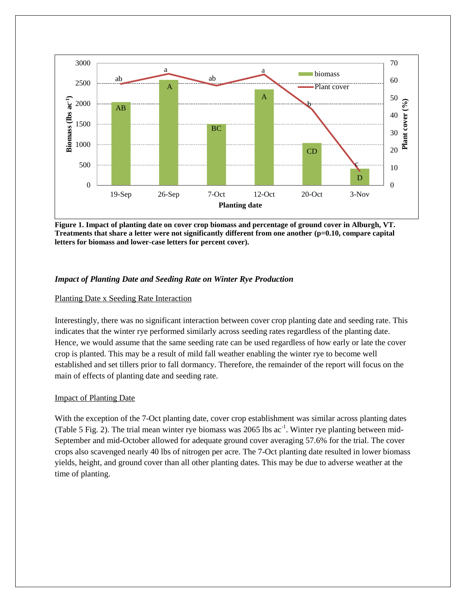

**Figure 1. Impact of planting date on cover crop biomass and percentage of ground cover in Alburgh, VT. Treatments that share a letter were not significantly different from one another (p=0.10, compare capital letters for biomass and lower-case letters for percent cover).**

## *Impact of Planting Date and Seeding Rate on Winter Rye Production*

## Planting Date x Seeding Rate Interaction

Interestingly, there was no significant interaction between cover crop planting date and seeding rate. This indicates that the winter rye performed similarly across seeding rates regardless of the planting date. Hence, we would assume that the same seeding rate can be used regardless of how early or late the cover crop is planted. This may be a result of mild fall weather enabling the winter rye to become well established and set tillers prior to fall dormancy. Therefore, the remainder of the report will focus on the main of effects of planting date and seeding rate.

## Impact of Planting Date

With the exception of the 7-Oct planting date, cover crop establishment was similar across planting dates (Table 5 Fig. 2). The trial mean winter rye biomass was 2065 lbs  $ac^{-1}$ . Winter rye planting between mid-September and mid-October allowed for adequate ground cover averaging 57.6% for the trial. The cover crops also scavenged nearly 40 lbs of nitrogen per acre. The 7-Oct planting date resulted in lower biomass yields, height, and ground cover than all other planting dates. This may be due to adverse weather at the time of planting.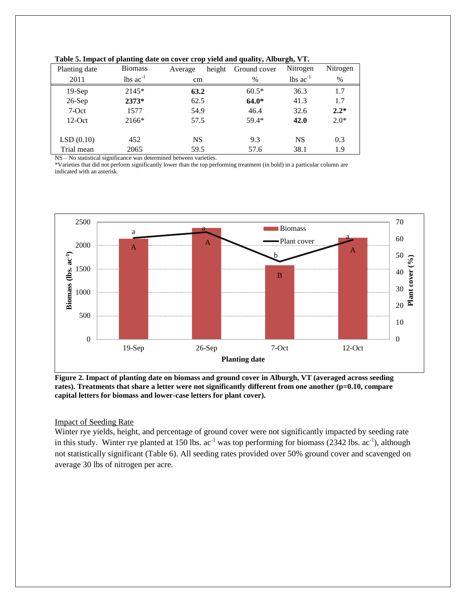| Planting date | <b>Biomass</b>                | height<br>Average | $\frac{1}{2}$ and $\frac{1}{2}$ , $\frac{1}{2}$ and $\frac{1}{2}$ and $\frac{1}{2}$ and $\frac{1}{2}$ are $\frac{1}{2}$<br>Ground cover | Nitrogen                      | Nitrogen |
|---------------|-------------------------------|-------------------|-----------------------------------------------------------------------------------------------------------------------------------------|-------------------------------|----------|
| 2011          | $\text{lbs}$ ac <sup>-1</sup> | cm                | $\%$                                                                                                                                    | $\text{lbs}$ ac <sup>-1</sup> | $\%$     |
| $19-Sep$      | $2145*$                       | 63.2              | $60.5*$                                                                                                                                 | 36.3                          | 1.7      |
| $26-Sep$      | 2373*                         | 62.5              | $64.0*$                                                                                                                                 | 41.3                          | 1.7      |
| 7-Oct         | 1577                          | 54.9              | 46.4                                                                                                                                    | 32.6                          | $2.2*$   |
| $12-Oct$      | 2166*                         | 57.5              | 59.4*                                                                                                                                   | 42.0                          | $2.0*$   |
| LSD(0.10)     | 452                           | <b>NS</b>         | 9.3                                                                                                                                     | <b>NS</b>                     | 0.3      |
| Trial mean    | 2065                          | 59.5              | 57.6                                                                                                                                    | 38.1                          | 1.9      |

|  |  | Table 5. Impact of planting date on cover crop yield and quality, Alburgh, VT. |  |
|--|--|--------------------------------------------------------------------------------|--|
|  |  |                                                                                |  |

NS – No statistical significance was determined between varieties.

\*Varieties that did not perform significantly lower than the top performing treatment (in bold) in a particular column are indicated with an asterisk.



**Figure 2. Impact of planting date on biomass and ground cover in Alburgh, VT (averaged across seeding**  rates). Treatments that share a letter were not significantly different from one another (p=0.10, compare **capital letters for biomass and lower-case letters for plant cover).**

## Impact of Seeding Rate

Winter rye yields, height, and percentage of ground cover were not significantly impacted by seeding rate in this study. Winter rye planted at 150 lbs.  $ac^{-1}$  was top performing for biomass (2342 lbs.  $ac^{-1}$ ), although not statistically significant (Table 6). All seeding rates provided over 50% ground cover and scavenged on average 30 lbs of nitrogen per acre.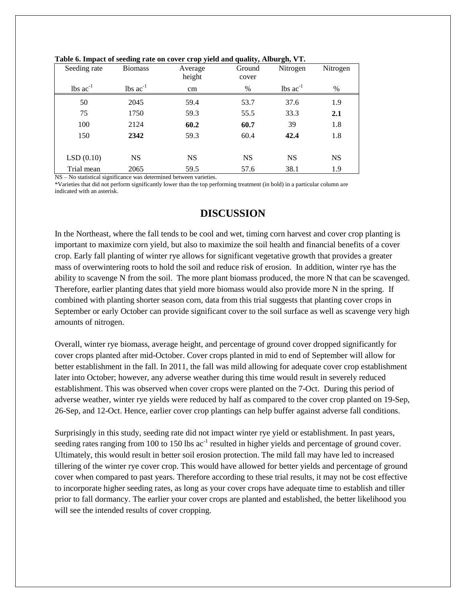| Seeding rate                  | <b>Biomass</b>                | Tuble of impact of becume take on cover erop yield and<br>Average<br>height | Ground<br>cover | $y^2$<br>Nitrogen             | Nitrogen  |
|-------------------------------|-------------------------------|-----------------------------------------------------------------------------|-----------------|-------------------------------|-----------|
| $\text{lbs}$ ac <sup>-1</sup> | $\text{lbs}$ ac <sup>-1</sup> | cm                                                                          | $\%$            | $\text{ lbs } \text{ac}^{-1}$ | $\%$      |
| 50                            | 2045                          | 59.4                                                                        | 53.7            | 37.6                          | 1.9       |
| 75                            | 1750                          | 59.3                                                                        | 55.5            | 33.3                          | 2.1       |
| 100                           | 2124                          | 60.2                                                                        | 60.7            | 39                            | 1.8       |
| 150                           | 2342                          | 59.3                                                                        | 60.4            | 42.4                          | 1.8       |
|                               |                               |                                                                             |                 |                               |           |
| LSD(0.10)                     | <b>NS</b>                     | <b>NS</b>                                                                   | <b>NS</b>       | <b>NS</b>                     | <b>NS</b> |
| Trial mean                    | 2065                          | 59.5                                                                        | 57.6            | 38.1                          | 1.9       |

|  | Table 6. Impact of seeding rate on cover crop yield and quality, Alburgh, VT. |  |  |
|--|-------------------------------------------------------------------------------|--|--|
|  |                                                                               |  |  |

NS – No statistical significance was determined between varieties.

\*Varieties that did not perform significantly lower than the top performing treatment (in bold) in a particular column are indicated with an asterisk.

# **DISCUSSION**

In the Northeast, where the fall tends to be cool and wet, timing corn harvest and cover crop planting is important to maximize corn yield, but also to maximize the soil health and financial benefits of a cover crop. Early fall planting of winter rye allows for significant vegetative growth that provides a greater mass of overwintering roots to hold the soil and reduce risk of erosion. In addition, winter rye has the ability to scavenge N from the soil. The more plant biomass produced, the more N that can be scavenged. Therefore, earlier planting dates that yield more biomass would also provide more N in the spring. If combined with planting shorter season corn, data from this trial suggests that planting cover crops in September or early October can provide significant cover to the soil surface as well as scavenge very high amounts of nitrogen.

Overall, winter rye biomass, average height, and percentage of ground cover dropped significantly for cover crops planted after mid-October. Cover crops planted in mid to end of September will allow for better establishment in the fall. In 2011, the fall was mild allowing for adequate cover crop establishment later into October; however, any adverse weather during this time would result in severely reduced establishment. This was observed when cover crops were planted on the 7-Oct. During this period of adverse weather, winter rye yields were reduced by half as compared to the cover crop planted on 19-Sep, 26-Sep, and 12-Oct. Hence, earlier cover crop plantings can help buffer against adverse fall conditions.

Surprisingly in this study, seeding rate did not impact winter rye yield or establishment. In past years, seeding rates ranging from 100 to 150 lbs  $ac^{-1}$  resulted in higher yields and percentage of ground cover. Ultimately, this would result in better soil erosion protection. The mild fall may have led to increased tillering of the winter rye cover crop. This would have allowed for better yields and percentage of ground cover when compared to past years. Therefore according to these trial results, it may not be cost effective to incorporate higher seeding rates, as long as your cover crops have adequate time to establish and tiller prior to fall dormancy. The earlier your cover crops are planted and established, the better likelihood you will see the intended results of cover cropping.